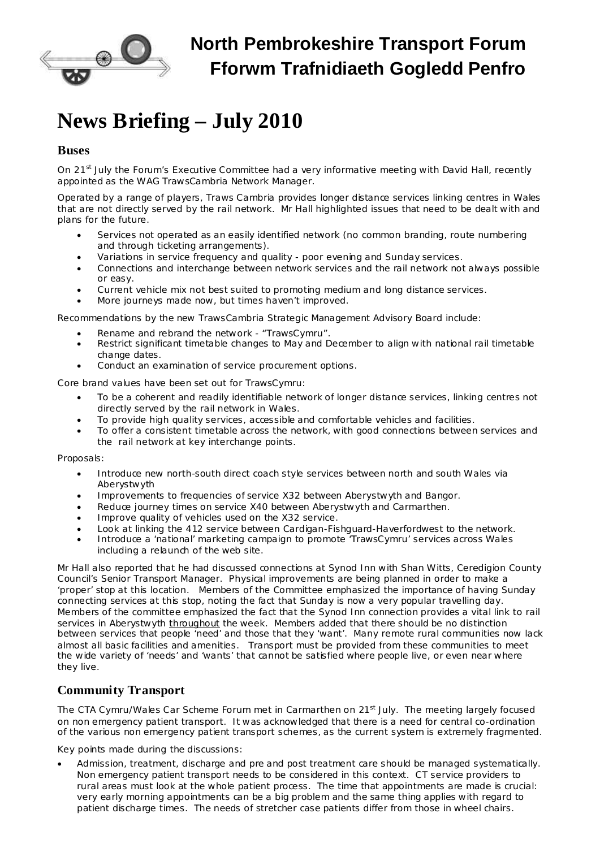

## **North Pembrokeshire Transport Forum Fforwm Trafnidiaeth Gogledd Penfro**

# **News Briefing – July 2010**

#### **Buses**

On 21<sup>st</sup> July the Forum's Executive Committee had a very informative meeting with David Hall, recently appointed as the WAG TrawsCambria Network Manager.

Operated by a range of players, Traws Cambria provides longer distance services linking centres in Wales that are not directly served by the rail network. Mr Hall highlighted issues that need to be dealt with and plans for the future.

- Services not operated as an easily identified network (no common branding, route numbering and through ticketing arrangements).
- Variations in service frequency and quality poor evening and Sunday services.
- · Connections and interchange between network services and the rail network not always possible or easy.
- Current vehicle mix not best suited to promoting medium and long distance services.
- More journeys made now, but times haven't improved.

Recommendations by the new TrawsCambria Strategic Management Advisory Board include:

- Rename and rebrand the network "TrawsCymru".
- Restrict significant timetable changes to May and December to align with national rail timetable change dates.
- Conduct an examination of service procurement options.

Core brand values have been set out for TrawsCymru:

- To be a coherent and readily identifiable network of longer distance services, linking centres not directly served by the rail network in Wales.
- · To provide high quality services, accessible and comfortable vehicles and facilities.
- · To offer a consistent timetable across the network, with good connections between services and the rail network at key interchange points.

Proposals:

- · Introduce new north-south direct coach style services between north and south Wales via Aberystwyth
- · Improvements to frequencies of service X32 between Aberystwyth and Bangor.
- Reduce journey times on service X40 between Aberystwyth and Carmarthen.
- Improve quality of vehicles used on the X32 service.
- · Look at linking the 412 service between Cardigan-Fishguard-Haverfordwest to the network.
- · Introduce a 'national' marketing campaign to promote 'TrawsCymru' services across Wales including a relaunch of the web site.

Mr Hall also reported that he had discussed connections at Synod Inn with Shan Witts, Ceredigion County Council's Senior Transport Manager. Physical improvements are being planned in order to make a 'proper' stop at this location. Members of the Committee emphasized the importance of having Sunday connecting services at this stop, noting the fact that Sunday is now a very popular travelling day. Members of the committee emphasized the fact that the Synod Inn connection provides a vital link to rail services in Aberystwyth throughout the week. Members added that there should be no distinction between services that people 'need' and those that they 'want'. Many remote rural communities now lack almost all basic facilities and amenities. Transport must be provided from these communities to meet the wide variety of 'needs' and 'wants' that cannot be satisfied where people live, or even near where they live.

#### **Community Transport**

The CTA Cymru/Wales Car Scheme Forum met in Carmarthen on 21<sup>st</sup> July. The meeting largely focused on non emergency patient transport. It was acknowledged that there is a need for central co-ordination of the various non emergency patient transport schemes, as the current system is extremely fragmented.

Key points made during the discussions:

· Admission, treatment, discharge and pre and post treatment care should be managed systematically. Non emergency patient transport needs to be considered in this context. CT service providers to rural areas must look at the whole patient process. The time that appointments are made is crucial: very early morning appointments can be a big problem and the same thing applies with regard to patient discharge times. The needs of stretcher case patients differ from those in wheel chairs.